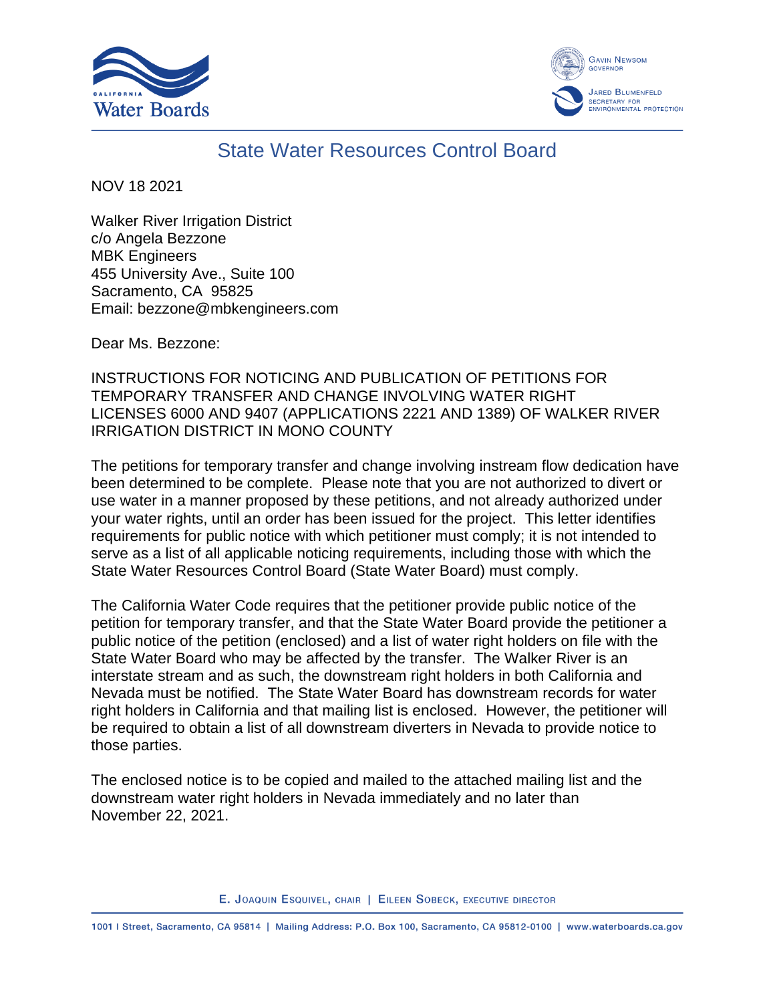



## State Water Resources Control Board

NOV 18 2021

Walker River Irrigation District c/o Angela Bezzone MBK Engineers 455 University Ave., Suite 100 Sacramento, CA 95825 Email: bezzone@mbkengineers.com

Dear Ms. Bezzone:

INSTRUCTIONS FOR NOTICING AND PUBLICATION OF PETITIONS FOR TEMPORARY TRANSFER AND CHANGE INVOLVING WATER RIGHT LICENSES 6000 AND 9407 (APPLICATIONS 2221 AND 1389) OF WALKER RIVER IRRIGATION DISTRICT IN MONO COUNTY

The petitions for temporary transfer and change involving instream flow dedication have been determined to be complete. Please note that you are not authorized to divert or use water in a manner proposed by these petitions, and not already authorized under your water rights, until an order has been issued for the project. This letter identifies requirements for public notice with which petitioner must comply; it is not intended to serve as a list of all applicable noticing requirements, including those with which the State Water Resources Control Board (State Water Board) must comply.

The California Water Code requires that the petitioner provide public notice of the petition for temporary transfer, and that the State Water Board provide the petitioner a public notice of the petition (enclosed) and a list of water right holders on file with the State Water Board who may be affected by the transfer. The Walker River is an interstate stream and as such, the downstream right holders in both California and Nevada must be notified. The State Water Board has downstream records for water right holders in California and that mailing list is enclosed. However, the petitioner will be required to obtain a list of all downstream diverters in Nevada to provide notice to those parties.

The enclosed notice is to be copied and mailed to the attached mailing list and the downstream water right holders in Nevada immediately and no later than November 22, 2021.

E. JOAQUIN ESQUIVEL, CHAIR | EILEEN SOBECK, EXECUTIVE DIRECTOR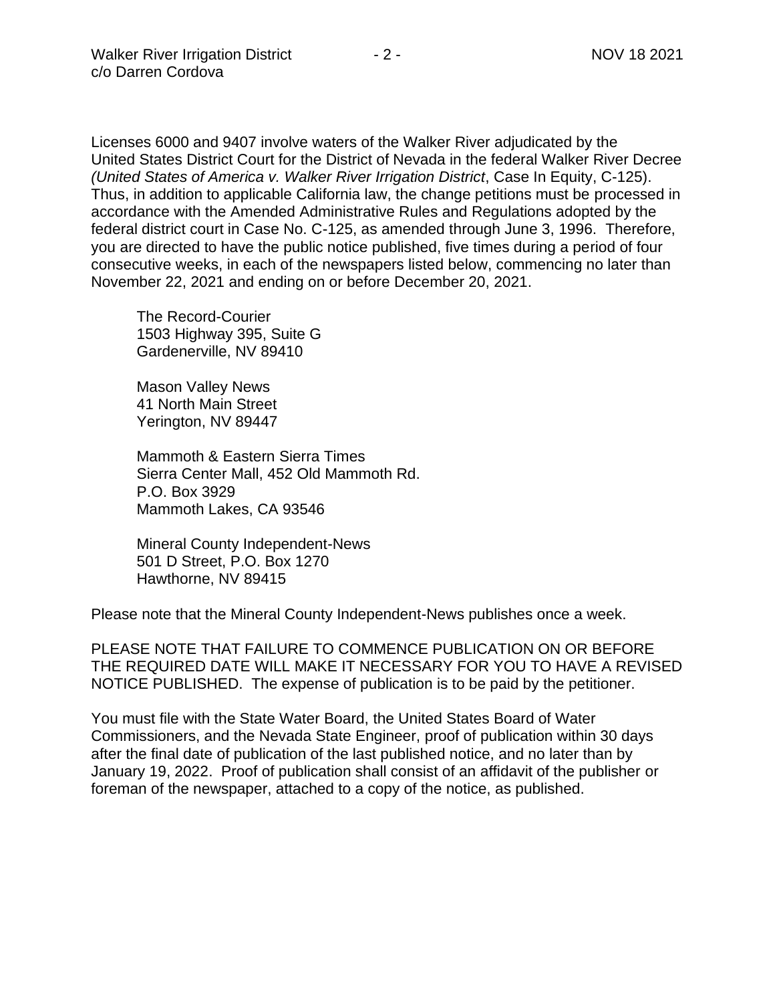Licenses 6000 and 9407 involve waters of the Walker River adjudicated by the United States District Court for the District of Nevada in the federal Walker River Decree *(United States of America v. Walker River Irrigation District*, Case In Equity, C-125). Thus, in addition to applicable California law, the change petitions must be processed in accordance with the Amended Administrative Rules and Regulations adopted by the federal district court in Case No. C-125, as amended through June 3, 1996. Therefore, you are directed to have the public notice published, five times during a period of four consecutive weeks, in each of the newspapers listed below, commencing no later than November 22, 2021 and ending on or before December 20, 2021.

The Record-Courier 1503 Highway 395, Suite G Gardenerville, NV 89410

Mason Valley News 41 North Main Street Yerington, NV 89447

Mammoth & Eastern Sierra Times Sierra Center Mall, 452 Old Mammoth Rd. P.O. Box 3929 Mammoth Lakes, CA 93546

Mineral County Independent-News 501 D Street, P.O. Box 1270 Hawthorne, NV 89415

Please note that the Mineral County Independent-News publishes once a week.

PLEASE NOTE THAT FAILURE TO COMMENCE PUBLICATION ON OR BEFORE THE REQUIRED DATE WILL MAKE IT NECESSARY FOR YOU TO HAVE A REVISED NOTICE PUBLISHED. The expense of publication is to be paid by the petitioner.

You must file with the State Water Board, the United States Board of Water Commissioners, and the Nevada State Engineer, proof of publication within 30 days after the final date of publication of the last published notice, and no later than by January 19, 2022. Proof of publication shall consist of an affidavit of the publisher or foreman of the newspaper, attached to a copy of the notice, as published.